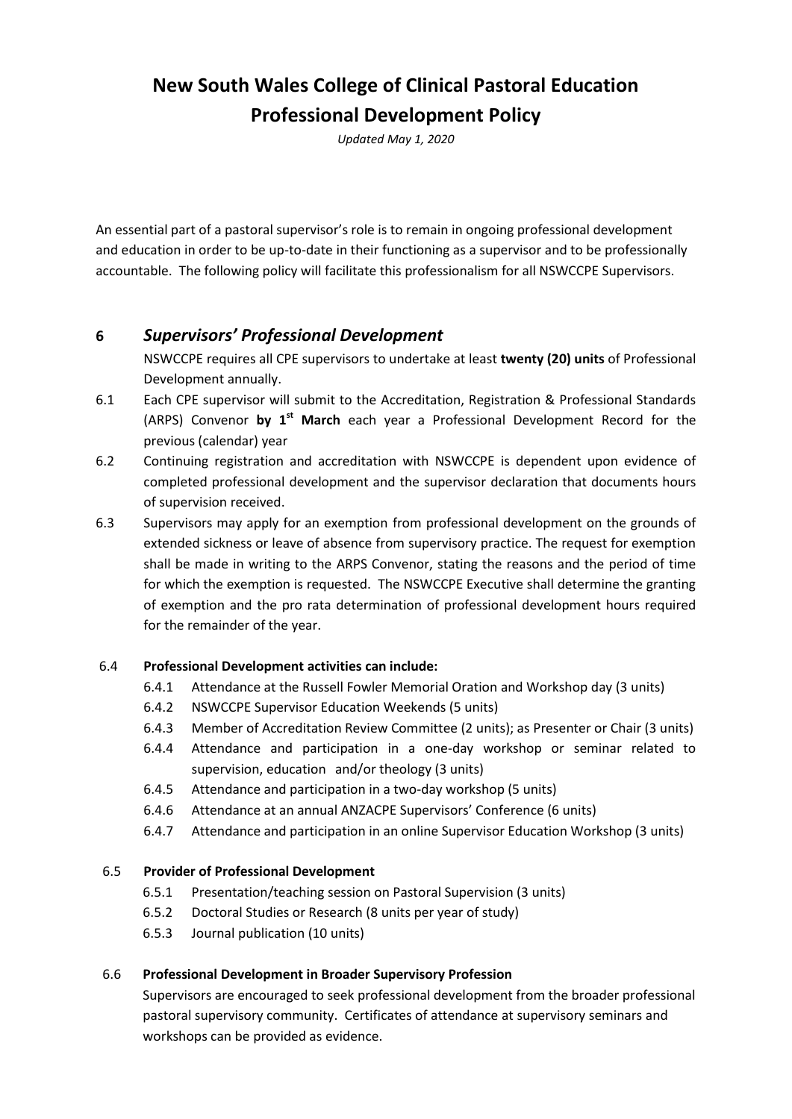# **New South Wales College of Clinical Pastoral Education Professional Development Policy**

*Updated May 1, 2020*

An essential part of a pastoral supervisor's role is to remain in ongoing professional development and education in order to be up-to-date in their functioning as a supervisor and to be professionally accountable. The following policy will facilitate this professionalism for all NSWCCPE Supervisors.

### **6** *Supervisors' Professional Development*

NSWCCPE requires all CPE supervisors to undertake at least **twenty (20) units** of Professional Development annually.

- 6.1 Each CPE supervisor will submit to the Accreditation, Registration & Professional Standards (ARPS) Convenor **by 1 st March** each year a Professional Development Record for the previous (calendar) year
- 6.2 Continuing registration and accreditation with NSWCCPE is dependent upon evidence of completed professional development and the supervisor declaration that documents hours of supervision received.
- 6.3 Supervisors may apply for an exemption from professional development on the grounds of extended sickness or leave of absence from supervisory practice. The request for exemption shall be made in writing to the ARPS Convenor, stating the reasons and the period of time for which the exemption is requested. The NSWCCPE Executive shall determine the granting of exemption and the pro rata determination of professional development hours required for the remainder of the year.

#### 6.4 **Professional Development activities can include:**

- 6.4.1 Attendance at the Russell Fowler Memorial Oration and Workshop day (3 units)
- 6.4.2 NSWCCPE Supervisor Education Weekends (5 units)
- 6.4.3 Member of Accreditation Review Committee (2 units); as Presenter or Chair (3 units)
- 6.4.4 Attendance and participation in a one-day workshop or seminar related to supervision, education and/or theology (3 units)
- 6.4.5 Attendance and participation in a two-day workshop (5 units)
- 6.4.6 Attendance at an annual ANZACPE Supervisors' Conference (6 units)
- 6.4.7 Attendance and participation in an online Supervisor Education Workshop (3 units)

#### 6.5 **Provider of Professional Development**

- 6.5.1 Presentation/teaching session on Pastoral Supervision (3 units)
- 6.5.2 Doctoral Studies or Research (8 units per year of study)
- 6.5.3 Journal publication (10 units)

#### 6.6 **Professional Development in Broader Supervisory Profession**

Supervisors are encouraged to seek professional development from the broader professional pastoral supervisory community. Certificates of attendance at supervisory seminars and workshops can be provided as evidence.